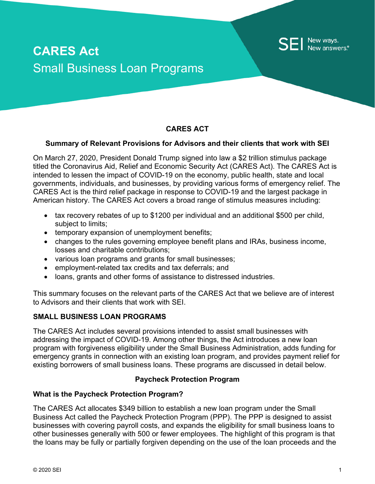# **CARES Act** Small Business Loan Programs

# **CARES ACT**

#### **Summary of Relevant Provisions for Advisors and their clients that work with SEI**

On March 27, 2020, President Donald Trump signed into law a \$2 trillion stimulus package titled the Coronavirus Aid, Relief and Economic Security Act (CARES Act). The CARES Act is intended to lessen the impact of COVID-19 on the economy, public health, state and local governments, individuals, and businesses, by providing various forms of emergency relief. The CARES Act is the third relief package in response to COVID-19 and the largest package in American history. The CARES Act covers a broad range of stimulus measures including:

- tax recovery rebates of up to \$1200 per individual and an additional \$500 per child, subject to limits;
- temporary expansion of unemployment benefits;
- changes to the rules governing employee benefit plans and IRAs, business income, losses and charitable contributions;
- various loan programs and grants for small businesses;
- employment-related tax credits and tax deferrals; and
- loans, grants and other forms of assistance to distressed industries.

This summary focuses on the relevant parts of the CARES Act that we believe are of interest to Advisors and their clients that work with SEI.

### **SMALL BUSINESS LOAN PROGRAMS**

The CARES Act includes several provisions intended to assist small businesses with addressing the impact of COVID-19. Among other things, the Act introduces a new loan program with forgiveness eligibility under the Small Business Administration, adds funding for emergency grants in connection with an existing loan program, and provides payment relief for existing borrowers of small business loans. These programs are discussed in detail below.

#### **Paycheck Protection Program**

#### **What is the Paycheck Protection Program?**

The CARES Act allocates \$349 billion to establish a new loan program under the Small Business Act called the Paycheck Protection Program (PPP). The PPP is designed to assist businesses with covering payroll costs, and expands the eligibility for small business loans to other businesses generally with 500 or fewer employees. The highlight of this program is that the loans may be fully or partially forgiven depending on the use of the loan proceeds and the

New ways. New answers.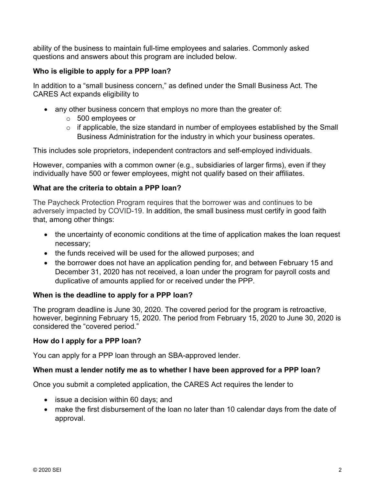ability of the business to maintain full-time employees and salaries. Commonly asked questions and answers about this program are included below.

# **Who is eligible to apply for a PPP loan?**

In addition to a "small business concern," as defined under the Small Business Act. The CARES Act expands eligibility to

- any other business concern that employs no more than the greater of:
	- o 500 employees or
	- o if applicable, the size standard in number of employees established by the Small Business Administration for the industry in which your business operates.

This includes sole proprietors, independent contractors and self-employed individuals.

However, companies with a common owner (e.g., subsidiaries of larger firms), even if they individually have 500 or fewer employees, might not qualify based on their affiliates.

# **What are the criteria to obtain a PPP loan?**

The Paycheck Protection Program requires that the borrower was and continues to be adversely impacted by COVID-19. In addition, the small business must certify in good faith that, among other things:

- the uncertainty of economic conditions at the time of application makes the loan request necessary;
- the funds received will be used for the allowed purposes; and
- the borrower does not have an application pending for, and between February 15 and December 31, 2020 has not received, a loan under the program for payroll costs and duplicative of amounts applied for or received under the PPP.

# **When is the deadline to apply for a PPP loan?**

The program deadline is June 30, 2020. The covered period for the program is retroactive, however, beginning February 15, 2020. The period from February 15, 2020 to June 30, 2020 is considered the "covered period."

#### **How do I apply for a PPP loan?**

You can apply for a PPP loan through an SBA-approved lender.

# **When must a lender notify me as to whether I have been approved for a PPP loan?**

Once you submit a completed application, the CARES Act requires the lender to

- issue a decision within 60 days; and
- make the first disbursement of the loan no later than 10 calendar days from the date of approval.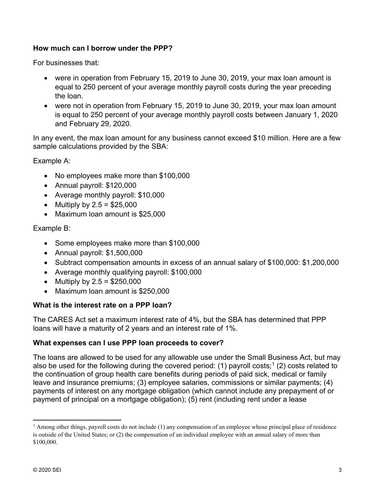# **How much can I borrow under the PPP?**

For businesses that:

- were in operation from February 15, 2019 to June 30, 2019, your max loan amount is equal to 250 percent of your average monthly payroll costs during the year preceding the loan.
- were not in operation from February 15, 2019 to June 30, 2019, your max loan amount is equal to 250 percent of your average monthly payroll costs between January 1, 2020 and February 29, 2020.

In any event, the max loan amount for any business cannot exceed \$10 million. Here are a few sample calculations provided by the SBA:

Example A:

- No employees make more than \$100,000
- Annual payroll: \$120,000
- Average monthly payroll: \$10,000
- Multiply by  $2.5 = $25,000$
- Maximum loan amount is \$25,000

Example B:

- Some employees make more than \$100,000
- Annual payroll: \$1,500,000
- Subtract compensation amounts in excess of an annual salary of \$100,000: \$1,200,000
- Average monthly qualifying payroll: \$100,000
- Multiply by  $2.5 = $250,000$
- Maximum loan amount is \$250,000

# **What is the interest rate on a PPP loan?**

The CARES Act set a maximum interest rate of 4%, but the SBA has determined that PPP loans will have a maturity of 2 years and an interest rate of 1%.

# **What expenses can I use PPP loan proceeds to cover?**

The loans are allowed to be used for any allowable use under the Small Business Act, but may also be used for the following during the covered period: ([1](#page-2-0)) payroll costs;<sup>1</sup> (2) costs related to the continuation of group health care benefits during periods of paid sick, medical or family leave and insurance premiums; (3) employee salaries, commissions or similar payments; (4) payments of interest on any mortgage obligation (which cannot include any prepayment of or payment of principal on a mortgage obligation); (5) rent (including rent under a lease

<span id="page-2-0"></span><sup>&</sup>lt;sup>1</sup> Among other things, payroll costs do not include (1) any compensation of an employee whose principal place of residence is outside of the United States; or (2) the compensation of an individual employee with an annual salary of more than \$100,000.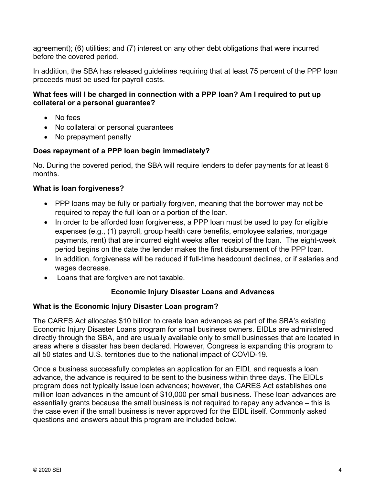agreement); (6) utilities; and (7) interest on any other debt obligations that were incurred before the covered period.

In addition, the SBA has released guidelines requiring that at least 75 percent of the PPP loan proceeds must be used for payroll costs.

# **What fees will I be charged in connection with a PPP loan? Am I required to put up collateral or a personal guarantee?**

- No fees
- No collateral or personal guarantees
- No prepayment penalty

# **Does repayment of a PPP loan begin immediately?**

No. During the covered period, the SBA will require lenders to defer payments for at least 6 months.

# **What is loan forgiveness?**

- PPP loans may be fully or partially forgiven, meaning that the borrower may not be required to repay the full loan or a portion of the loan.
- In order to be afforded loan forgiveness, a PPP loan must be used to pay for eligible expenses (e.g., (1) payroll, group health care benefits, employee salaries, mortgage payments, rent) that are incurred eight weeks after receipt of the loan. The eight-week period begins on the date the lender makes the first disbursement of the PPP loan.
- In addition, forgiveness will be reduced if full-time headcount declines, or if salaries and wages decrease.
- Loans that are forgiven are not taxable.

# **Economic Injury Disaster Loans and Advances**

#### **What is the Economic Injury Disaster Loan program?**

The CARES Act allocates \$10 billion to create loan advances as part of the SBA's existing Economic Injury Disaster Loans program for small business owners. EIDLs are administered directly through the SBA, and are usually available only to small businesses that are located in areas where a disaster has been declared. However, Congress is expanding this program to all 50 states and U.S. territories due to the national impact of COVID-19.

Once a business successfully completes an application for an EIDL and requests a loan advance, the advance is required to be sent to the business within three days. The EIDLs program does not typically issue loan advances; however, the CARES Act establishes one million loan advances in the amount of \$10,000 per small business. These loan advances are essentially grants because the small business is not required to repay any advance – this is the case even if the small business is never approved for the EIDL itself. Commonly asked questions and answers about this program are included below.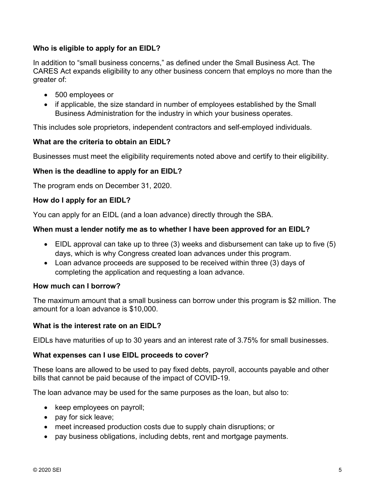# **Who is eligible to apply for an EIDL?**

In addition to "small business concerns," as defined under the Small Business Act. The CARES Act expands eligibility to any other business concern that employs no more than the greater of:

- 500 employees or
- if applicable, the size standard in number of employees established by the Small Business Administration for the industry in which your business operates.

This includes sole proprietors, independent contractors and self-employed individuals.

# **What are the criteria to obtain an EIDL?**

Businesses must meet the eligibility requirements noted above and certify to their eligibility.

# **When is the deadline to apply for an EIDL?**

The program ends on December 31, 2020.

# **How do I apply for an EIDL?**

You can apply for an EIDL (and a loan advance) directly through the SBA.

# **When must a lender notify me as to whether I have been approved for an EIDL?**

- EIDL approval can take up to three (3) weeks and disbursement can take up to five (5) days, which is why Congress created loan advances under this program.
- Loan advance proceeds are supposed to be received within three (3) days of completing the application and requesting a loan advance.

#### **How much can I borrow?**

The maximum amount that a small business can borrow under this program is \$2 million. The amount for a loan advance is \$10,000.

#### **What is the interest rate on an EIDL?**

EIDLs have maturities of up to 30 years and an interest rate of 3.75% for small businesses.

#### **What expenses can I use EIDL proceeds to cover?**

These loans are allowed to be used to pay fixed debts, payroll, accounts payable and other bills that cannot be paid because of the impact of COVID-19.

The loan advance may be used for the same purposes as the loan, but also to:

- keep employees on payroll;
- pay for sick leave;
- meet increased production costs due to supply chain disruptions; or
- pay business obligations, including debts, rent and mortgage payments.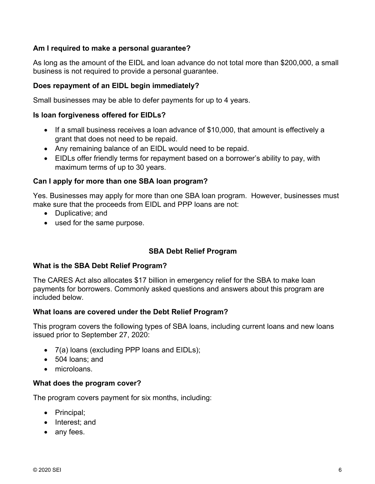# **Am I required to make a personal guarantee?**

As long as the amount of the EIDL and loan advance do not total more than \$200,000, a small business is not required to provide a personal guarantee.

## **Does repayment of an EIDL begin immediately?**

Small businesses may be able to defer payments for up to 4 years.

#### **Is loan forgiveness offered for EIDLs?**

- If a small business receives a loan advance of \$10,000, that amount is effectively a grant that does not need to be repaid.
- Any remaining balance of an EIDL would need to be repaid.
- EIDLs offer friendly terms for repayment based on a borrower's ability to pay, with maximum terms of up to 30 years.

#### **Can I apply for more than one SBA loan program?**

Yes. Businesses may apply for more than one SBA loan program. However, businesses must make sure that the proceeds from EIDL and PPP loans are not:

- Duplicative; and
- used for the same purpose.

#### **SBA Debt Relief Program**

#### **What is the SBA Debt Relief Program?**

The CARES Act also allocates \$17 billion in emergency relief for the SBA to make loan payments for borrowers. Commonly asked questions and answers about this program are included below.

#### **What loans are covered under the Debt Relief Program?**

This program covers the following types of SBA loans, including current loans and new loans issued prior to September 27, 2020:

- 7(a) loans (excluding PPP loans and EIDLs);
- 504 loans; and
- microloans.

#### **What does the program cover?**

The program covers payment for six months, including:

- Principal;
- Interest; and
- any fees.